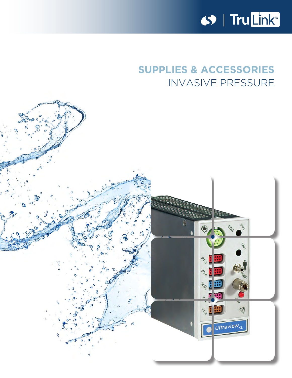

# **SUPPLIES & ACCESSORIES** INVASIVE PRESSURE

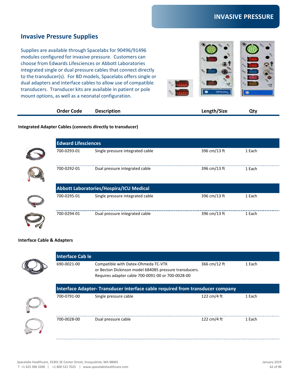## **Invasive Pressure Supplies**

Supplies are available through Spacelabs for 90496/91496 modules configured for invasive pressure. Customers can choose from Edwards Lifesciences or Abbott Laboratories integrated single or dual pressure cables that connect directly to the transducer(s). For BD models, Spacelabs offers single or dual adapters and interface cables to allow use of compatible transducers. Transducer kits are available in patient or pole mount options, as well as a neonatal configuration.



| <b>Order Code</b> | <b>Description</b> | Length/Size | Qty |  |
|-------------------|--------------------|-------------|-----|--|
|-------------------|--------------------|-------------|-----|--|

#### **Integrated Adapter Cables (connects directly to transducer)**

|                                                | <b>Edward Lifesciences</b>       |              |        |  |
|------------------------------------------------|----------------------------------|--------------|--------|--|
| 700-0293-01                                    | Single pressure integrated cable | 396 cm/13 ft | 1 Each |  |
| 700-0292-01                                    | Dual pressure integrated cable   | 396 cm/13 ft | 1 Each |  |
| <b>Abbott Laboratories/Hospira/ICU Medical</b> |                                  |              |        |  |
| 700-0295-01                                    | Single pressure integrated cable | 396 cm/13 ft | 1 Each |  |
| 700-0294-01                                    | Dual pressure integrated cable   | 396 cm/13 ft | 1 Each |  |

#### **Interface Cable & Adapters**

| Interface Cab le                                                              |                                                                                                                                                    |              |        |  |
|-------------------------------------------------------------------------------|----------------------------------------------------------------------------------------------------------------------------------------------------|--------------|--------|--|
| 690-0021-00                                                                   | Compatible with Datex-Ohmeda TC-VTK<br>or Becton Dickinson model 684085 pressure transducers.<br>Requires adapter cable 700-0091-00 or 700-0028-00 | 366 cm/12 ft | 1 Each |  |
| Interface Adapter-Transducer interface cable required from transducer company |                                                                                                                                                    |              |        |  |
| 700-0791-00                                                                   | Single pressure cable                                                                                                                              | 122 cm/4 ft  | 1 Each |  |
| 700-0028-00                                                                   | Dual pressure cable                                                                                                                                | 122 cm/4 ft  | 1 Each |  |